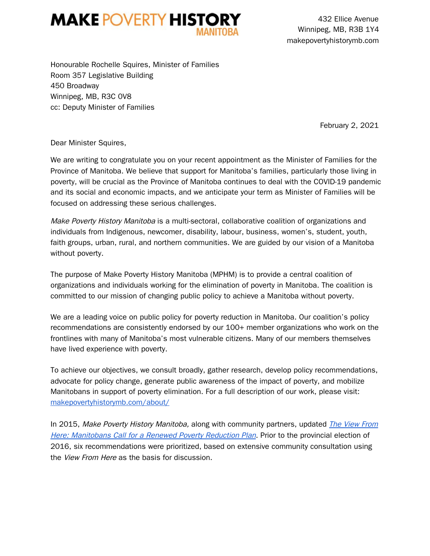

432 Ellice Avenue Winnipeg, MB, R3B 1Y4 makepovertyhistorymb.com

Honourable Rochelle Squires, Minister of Families Room 357 Legislative Building 450 Broadway Winnipeg, MB, R3C 0V8 cc: Deputy Minister of Families

February 2, 2021

Dear Minister Squires,

We are writing to congratulate you on your recent appointment as the Minister of Families for the Province of Manitoba. We believe that support for Manitoba's families, particularly those living in poverty, will be crucial as the Province of Manitoba continues to deal with the COVID-19 pandemic and its social and economic impacts, and we anticipate your term as Minister of Families will be focused on addressing these serious challenges.

Make Poverty History Manitoba is a multi-sectoral, collaborative coalition of organizations and individuals from Indigenous, newcomer, disability, labour, business, women's, student, youth, faith groups, urban, rural, and northern communities. We are guided by our vision of a Manitoba without poverty.

The purpose of Make Poverty History Manitoba (MPHM) is to provide a central coalition of organizations and individuals working for the elimination of poverty in Manitoba. The coalition is committed to our mission of changing public policy to achieve a Manitoba without poverty.

We are a leading voice on public policy for poverty reduction in Manitoba. Our coalition's policy recommendations are consistently endorsed by our 100+ member organizations who work on the frontlines with many of Manitoba's most vulnerable citizens. Many of our members themselves have lived experience with poverty.

To achieve our objectives, we consult broadly, gather research, develop policy recommendations, advocate for policy change, generate public awareness of the impact of poverty, and mobilize Manitobans in support of poverty elimination. For a full description of our work, please visit: makepovertyhistorymb.com/about/

In 2015, Make Poverty History Manitoba, along with community partners, updated *The View From* Here: Manitobans Call for <sup>a</sup> Renewed Poverty Reduction Plan. Prior to the provincial election of 2016, six recommendations were prioritized, based on extensive community consultation using the *View From Here* as the basis for discussion.